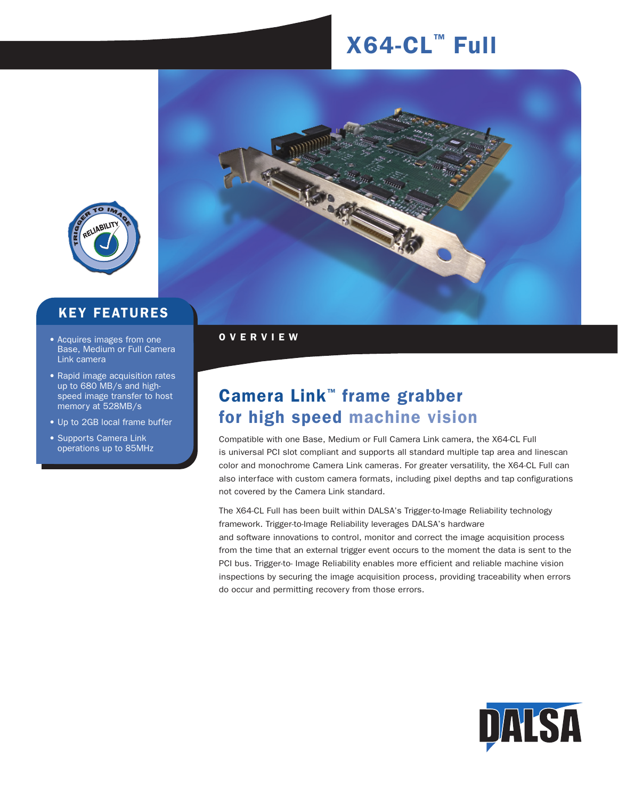# $X64-CL<sup>m</sup>$  Full



### KEY FEATURES

- Acquires images from one **OVERVIEW** Base, Medium or Full Camera Link camera
- Rapid image acquisition rates up to 680 MB/s and highspeed image transfer to host memory at 528MB/s
- Up to 2GB local frame buffer
- Supports Camera Link operations up to 85MHz



# Camera Link™ frame grabber for high speed machine vision

Compatible with one Base, Medium or Full Camera Link camera, the X64-CL Full is universal PCI slot compliant and supports all standard multiple tap area and linescan color and monochrome Camera Link cameras. For greater versatility, the X64-CL Full can also interface with custom camera formats, including pixel depths and tap configurations not covered by the Camera Link standard.

The X64-CL Full has been built within DALSA's Trigger-to-Image Reliability technology framework. Trigger-to-Image Reliability leverages DALSA's hardware and software innovations to control, monitor and correct the image acquisition process from the time that an external trigger event occurs to the moment the data is sent to the PCI bus. Trigger-to- Image Reliability enables more efficient and reliable machine vision inspections by securing the image acquisition process, providing traceability when errors do occur and permitting recovery from those errors.

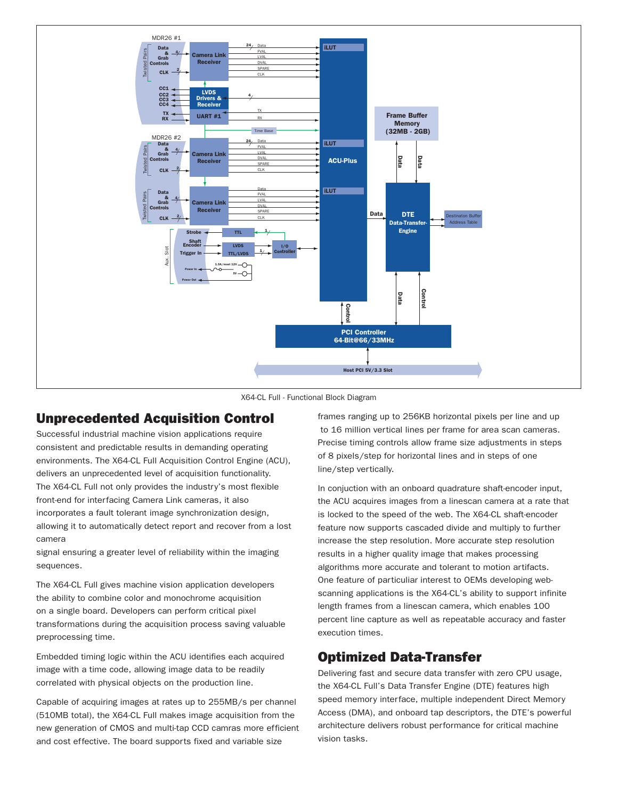

X64-CL Full - Functional Block Diagram

#### Unprecedented Acquisition Control

Successful industrial machine vision applications require consistent and predictable results in demanding operating environments. The X64-CL Full Acquisition Control Engine (ACU), delivers an unprecedented level of acquisition functionality. The X64-CL Full not only provides the industry's most flexible front-end for interfacing Camera Link cameras, it also incorporates a fault tolerant image synchronization design, allowing it to automatically detect report and recover from a lost camera

signal ensuring a greater level of reliability within the imaging sequences.

The X64-CL Full gives machine vision application developers the ability to combine color and monochrome acquisition on a single board. Developers can perform critical pixel transformations during the acquisition process saving valuable preprocessing time.

Embedded timing logic within the ACU identifies each acquired image with a time code, allowing image data to be readily correlated with physical objects on the production line.

Capable of acquiring images at rates up to 255MB/s per channel (510MB total), the X64-CL Full makes image acquisition from the new generation of CMOS and multi-tap CCD camras more efficient and cost effective. The board supports fixed and variable size

frames ranging up to 256KB horizontal pixels per line and up to 16 million vertical lines per frame for area scan cameras. Precise timing controls allow frame size adjustments in steps of 8 pixels/step for horizontal lines and in steps of one line/step vertically.

In conjuction with an onboard quadrature shaft-encoder input, the ACU acquires images from a linescan camera at a rate that is locked to the speed of the web. The X64-CL shaft-encoder feature now supports cascaded divide and multiply to further increase the step resolution. More accurate step resolution results in a higher quality image that makes processing algorithms more accurate and tolerant to motion artifacts. One feature of particuliar interest to OEMs developing webscanning applications is the X64-CL's ability to support infinite length frames from a linescan camera, which enables 100 percent line capture as well as repeatable accuracy and faster execution times.

#### Optimized Data-Transfer

Delivering fast and secure data transfer with zero CPU usage, the X64-CL Full's Data Transfer Engine (DTE) features high speed memory interface, multiple independent Direct Memory Access (DMA), and onboard tap descriptors, the DTE's powerful architecture delivers robust performance for critical machine vision tasks.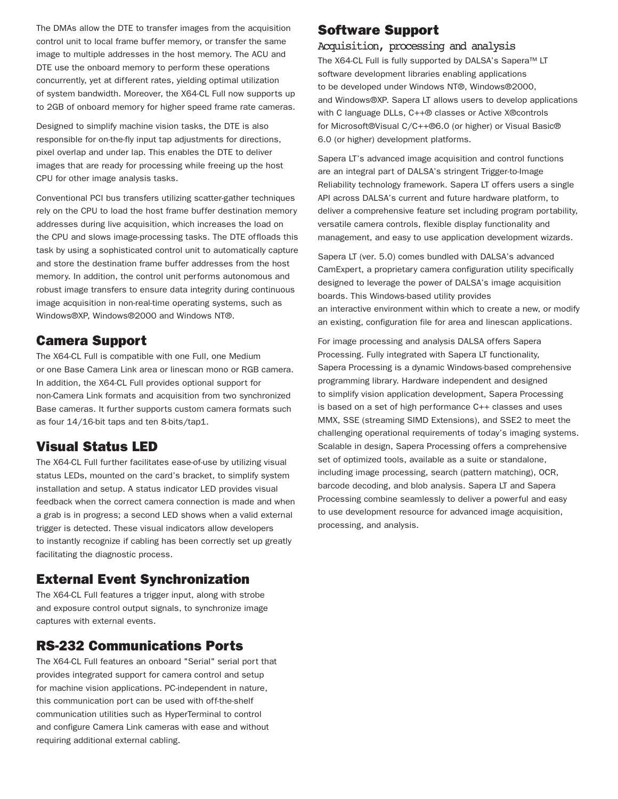The DMAs allow the DTE to transfer images from the acquisition control unit to local frame buffer memory, or transfer the same image to multiple addresses in the host memory. The ACU and DTE use the onboard memory to perform these operations concurrently, yet at different rates, yielding optimal utilization of system bandwidth. Moreover, the X64-CL Full now supports up to 2GB of onboard memory for higher speed frame rate cameras.

Designed to simplify machine vision tasks, the DTE is also responsible for on-the-fly input tap adjustments for directions, pixel overlap and under lap. This enables the DTE to deliver images that are ready for processing while freeing up the host CPU for other image analysis tasks.

Conventional PCI bus transfers utilizing scatter-gather techniques rely on the CPU to load the host frame buffer destination memory addresses during live acquisition, which increases the load on the CPU and slows image-processing tasks. The DTE offloads this task by using a sophisticated control unit to automatically capture and store the destination frame buffer addresses from the host memory. In addition, the control unit performs autonomous and robust image transfers to ensure data integrity during continuous image acquisition in non-real-time operating systems, such as Windows®XP, Windows®2000 and Windows NT®.

#### Camera Support

The X64-CL Full is compatible with one Full, one Medium or one Base Camera Link area or linescan mono or RGB camera. In addition, the X64-CL Full provides optional support for non-Camera Link formats and acquisition from two synchronized Base cameras. It further supports custom camera formats such as four 14/16-bit taps and ten 8-bits/tap1.

#### Visual Status LED

The X64-CL Full further facilitates ease-of-use by utilizing visual status LEDs, mounted on the card's bracket, to simplify system installation and setup. A status indicator LED provides visual feedback when the correct camera connection is made and when a grab is in progress; a second LED shows when a valid external trigger is detected. These visual indicators allow developers to instantly recognize if cabling has been correctly set up greatly facilitating the diagnostic process.

#### External Event Synchronization

The X64-CL Full features a trigger input, along with strobe and exposure control output signals, to synchronize image captures with external events.

#### RS-232 Communications Ports

The X64-CL Full features an onboard "Serial" serial port that provides integrated support for camera control and setup for machine vision applications. PC-independent in nature, this communication port can be used with off-the-shelf communication utilities such as HyperTerminal to control and configure Camera Link cameras with ease and without requiring additional external cabling.

#### Software Support

#### Acquisition, processing and analysis

The X64-CL Full is fully supported by DALSA's Sapera™ LT software development libraries enabling applications to be developed under Windows NT®, Windows®2000, and Windows®XP. Sapera LT allows users to develop applications with C language DLLs, C++® classes or Active X®controls for Microsoft®Visual C/C++®6.0 (or higher) or Visual Basic® 6.0 (or higher) development platforms.

Sapera LT's advanced image acquisition and control functions are an integral part of DALSA's stringent Trigger-to-Image Reliability technology framework. Sapera LT offers users a single API across DALSA's current and future hardware platform, to deliver a comprehensive feature set including program portability, versatile camera controls, flexible display functionality and management, and easy to use application development wizards.

Sapera LT (ver. 5.0) comes bundled with DALSA's advanced CamExpert, a proprietary camera configuration utility specifically designed to leverage the power of DALSA's image acquisition boards. This Windows-based utility provides an interactive environment within which to create a new, or modify an existing, configuration file for area and linescan applications.

For image processing and analysis DALSA offers Sapera Processing. Fully integrated with Sapera LT functionality, Sapera Processing is a dynamic Windows-based comprehensive programming library. Hardware independent and designed to simplify vision application development, Sapera Processing is based on a set of high performance C++ classes and uses MMX, SSE (streaming SIMD Extensions), and SSE2 to meet the challenging operational requirements of today's imaging systems. Scalable in design, Sapera Processing offers a comprehensive set of optimized tools, available as a suite or standalone, including image processing, search (pattern matching), OCR, barcode decoding, and blob analysis. Sapera LT and Sapera Processing combine seamlessly to deliver a powerful and easy to use development resource for advanced image acquisition, processing, and analysis.